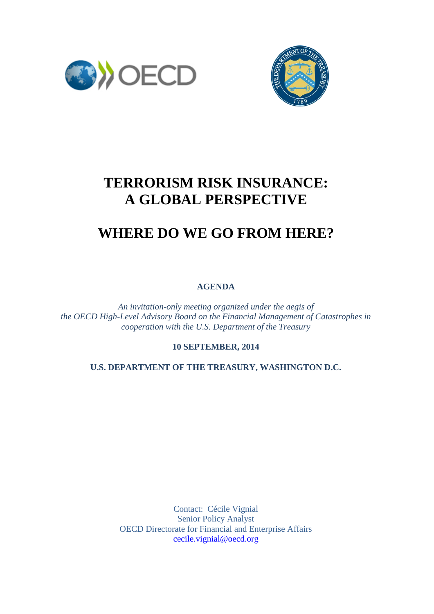



## **TERRORISM RISK INSURANCE: A GLOBAL PERSPECTIVE**

## **WHERE DO WE GO FROM HERE?**

**AGENDA**

*An invitation-only meeting organized under the aegis of the OECD High-Level Advisory Board on the Financial Management of Catastrophes in cooperation with the U.S. Department of the Treasury*

**10 SEPTEMBER, 2014**

**U.S. DEPARTMENT OF THE TREASURY, WASHINGTON D.C.**

Contact: Cécile Vignial Senior Policy Analyst OECD Directorate for Financial and Enterprise Affairs [cecile.vignial@oecd.org](mailto:cecile.vignial@oecd.org)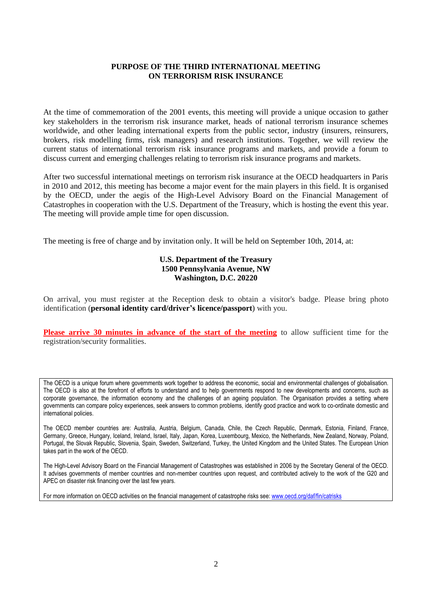## **PURPOSE OF THE THIRD INTERNATIONAL MEETING ON TERRORISM RISK INSURANCE**

At the time of commemoration of the 2001 events, this meeting will provide a unique occasion to gather key stakeholders in the terrorism risk insurance market, heads of national terrorism insurance schemes worldwide, and other leading international experts from the public sector, industry (insurers, reinsurers, brokers, risk modelling firms, risk managers) and research institutions. Together, we will review the current status of international terrorism risk insurance programs and markets, and provide a forum to discuss current and emerging challenges relating to terrorism risk insurance programs and markets.

After two successful international meetings on terrorism risk insurance at the OECD headquarters in Paris in 2010 and 2012, this meeting has become a major event for the main players in this field. It is organised by the OECD, under the aegis of the High-Level Advisory Board on the Financial Management of Catastrophes in cooperation with the U.S. Department of the Treasury, which is hosting the event this year. The meeting will provide ample time for open discussion.

The meeting is free of charge and by invitation only. It will be held on September 10th, 2014, at:

## **U.S. Department of the Treasury 1500 Pennsylvania Avenue, NW Washington, D.C. 20220**

On arrival, you must register at the Reception desk to obtain a visitor's badge. Please bring photo identification (**personal identity card/driver's licence/passport**) with you.

**Please arrive 30 minutes in advance of the start of the meeting** to allow sufficient time for the registration/security formalities.

The OECD is a unique forum where governments work together to address the economic, social and environmental challenges of globalisation. The OECD is also at the forefront of efforts to understand and to help governments respond to new developments and concerns, such as corporate governance, the information economy and the challenges of an ageing population. The Organisation provides a setting where governments can compare policy experiences, seek answers to common problems, identify good practice and work to co-ordinate domestic and international policies.

The OECD member countries are: Australia, Austria, Belgium, Canada, Chile, the Czech Republic, Denmark, Estonia, Finland, France, Germany, Greece, Hungary, Iceland, Ireland, Israel, Italy, Japan, Korea, Luxembourg, Mexico, the Netherlands, New Zealand, Norway, Poland, Portugal, the Slovak Republic, Slovenia, Spain, Sweden, Switzerland, Turkey, the United Kingdom and the United States. The European Union takes part in the work of the OECD.

The High-Level Advisory Board on the Financial Management of Catastrophes was established in 2006 by the Secretary General of the OECD. It advises governments of member countries and non-member countries upon request, and contributed actively to the work of the G20 and APEC on disaster risk financing over the last few years.

For more information on OECD activities on the financial management of catastrophe risks see: [www.oecd.org/daf/fin/catrisks](http://www.oecd.org/daf/fin/catrisks)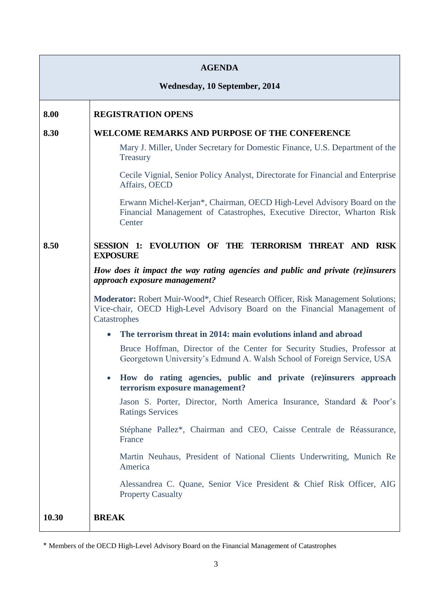| <b>AGENDA</b><br><b>Wednesday, 10 September, 2014</b> |                                                                                                                                                                               |  |
|-------------------------------------------------------|-------------------------------------------------------------------------------------------------------------------------------------------------------------------------------|--|
|                                                       |                                                                                                                                                                               |  |
| 8.00                                                  | <b>REGISTRATION OPENS</b>                                                                                                                                                     |  |
| 8.30                                                  | WELCOME REMARKS AND PURPOSE OF THE CONFERENCE                                                                                                                                 |  |
|                                                       | Mary J. Miller, Under Secretary for Domestic Finance, U.S. Department of the<br>Treasury                                                                                      |  |
|                                                       | Cecile Vignial, Senior Policy Analyst, Directorate for Financial and Enterprise<br>Affairs, OECD                                                                              |  |
|                                                       | Erwann Michel-Kerjan*, Chairman, OECD High-Level Advisory Board on the<br>Financial Management of Catastrophes, Executive Director, Wharton Risk<br>Center                    |  |
| 8.50                                                  | EVOLUTION OF THE TERRORISM THREAT AND RISK<br><b>SESSION 1:</b><br><b>EXPOSURE</b>                                                                                            |  |
|                                                       | How does it impact the way rating agencies and public and private (re)insurers<br>approach exposure management?                                                               |  |
|                                                       | Moderator: Robert Muir-Wood*, Chief Research Officer, Risk Management Solutions;<br>Vice-chair, OECD High-Level Advisory Board on the Financial Management of<br>Catastrophes |  |
|                                                       | The terrorism threat in 2014: main evolutions inland and abroad<br>$\bullet$                                                                                                  |  |
|                                                       | Bruce Hoffman, Director of the Center for Security Studies, Professor at<br>Georgetown University's Edmund A. Walsh School of Foreign Service, USA                            |  |
|                                                       | How do rating agencies, public and private (re)insurers approach<br>terrorism exposure management?                                                                            |  |
|                                                       | Jason S. Porter, Director, North America Insurance, Standard & Poor's<br><b>Ratings Services</b>                                                                              |  |
|                                                       | Stéphane Pallez*, Chairman and CEO, Caisse Centrale de Réassurance,<br>France                                                                                                 |  |
|                                                       | Martin Neuhaus, President of National Clients Underwriting, Munich Re<br>America                                                                                              |  |
|                                                       | Alessandrea C. Quane, Senior Vice President & Chief Risk Officer, AIG<br><b>Property Casualty</b>                                                                             |  |
| 10.30                                                 | <b>BREAK</b>                                                                                                                                                                  |  |

<sup>\*</sup> Members of the OECD High-Level Advisory Board on the Financial Management of Catastrophes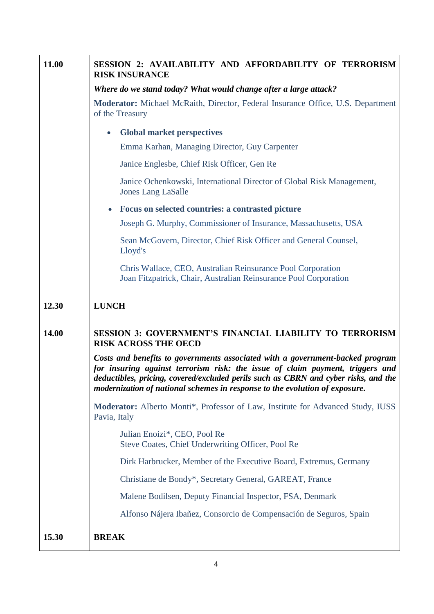| 11.00 | SESSION 2: AVAILABILITY AND AFFORDABILITY OF TERRORISM<br><b>RISK INSURANCE</b>                                                                                                                                                                                                                                                      |
|-------|--------------------------------------------------------------------------------------------------------------------------------------------------------------------------------------------------------------------------------------------------------------------------------------------------------------------------------------|
|       | Where do we stand today? What would change after a large attack?                                                                                                                                                                                                                                                                     |
|       | Moderator: Michael McRaith, Director, Federal Insurance Office, U.S. Department<br>of the Treasury                                                                                                                                                                                                                                   |
|       | <b>Global market perspectives</b><br>$\bullet$                                                                                                                                                                                                                                                                                       |
|       | Emma Karhan, Managing Director, Guy Carpenter                                                                                                                                                                                                                                                                                        |
|       | Janice Englesbe, Chief Risk Officer, Gen Re                                                                                                                                                                                                                                                                                          |
|       | Janice Ochenkowski, International Director of Global Risk Management,<br><b>Jones Lang LaSalle</b>                                                                                                                                                                                                                                   |
|       | Focus on selected countries: a contrasted picture                                                                                                                                                                                                                                                                                    |
|       | Joseph G. Murphy, Commissioner of Insurance, Massachusetts, USA                                                                                                                                                                                                                                                                      |
|       | Sean McGovern, Director, Chief Risk Officer and General Counsel,<br>Lloyd's                                                                                                                                                                                                                                                          |
|       | Chris Wallace, CEO, Australian Reinsurance Pool Corporation<br>Joan Fitzpatrick, Chair, Australian Reinsurance Pool Corporation                                                                                                                                                                                                      |
| 12.30 | <b>LUNCH</b>                                                                                                                                                                                                                                                                                                                         |
| 14.00 | SESSION 3: GOVERNMENT'S FINANCIAL LIABILITY TO TERRORISM<br><b>RISK ACROSS THE OECD</b>                                                                                                                                                                                                                                              |
|       | Costs and benefits to governments associated with a government-backed program<br>for insuring against terrorism risk: the issue of claim payment, triggers and<br>deductibles, pricing, covered/excluded perils such as CBRN and cyber risks, and the<br>modernization of national schemes in response to the evolution of exposure. |
|       | Moderator: Alberto Monti*, Professor of Law, Institute for Advanced Study, IUSS<br>Pavia, Italy                                                                                                                                                                                                                                      |
|       | Julian Enoizi*, CEO, Pool Re<br>Steve Coates, Chief Underwriting Officer, Pool Re                                                                                                                                                                                                                                                    |
|       | Dirk Harbrucker, Member of the Executive Board, Extremus, Germany                                                                                                                                                                                                                                                                    |
|       | Christiane de Bondy*, Secretary General, GAREAT, France                                                                                                                                                                                                                                                                              |
|       | Malene Bodilsen, Deputy Financial Inspector, FSA, Denmark                                                                                                                                                                                                                                                                            |
|       | Alfonso Nájera Ibañez, Consorcio de Compensación de Seguros, Spain                                                                                                                                                                                                                                                                   |
| 15.30 | <b>BREAK</b>                                                                                                                                                                                                                                                                                                                         |